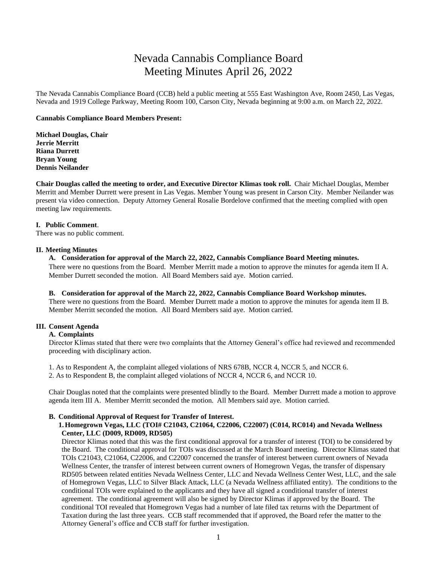# Nevada Cannabis Compliance Board Meeting Minutes April 26, 2022

The Nevada Cannabis Compliance Board (CCB) held a public meeting at 555 East Washington Ave, Room 2450, Las Vegas, Nevada and 1919 College Parkway, Meeting Room 100, Carson City, Nevada beginning at 9:00 a.m. on March 22, 2022.

## **Cannabis Compliance Board Members Present:**

**Michael Douglas, Chair Jerrie Merritt Riana Durrett Bryan Young Dennis Neilander**

**Chair Douglas called the meeting to order, and Executive Director Klimas took roll.** Chair Michael Douglas, Member Merritt and Member Durrett were present in Las Vegas. Member Young was present in Carson City. Member Neilander was present via video connection. Deputy Attorney General Rosalie Bordelove confirmed that the meeting complied with open meeting law requirements.

## **I. Public Comment**.

There was no public comment.

## **II. Meeting Minutes**

# **A. Consideration for approval of the March 22, 2022, Cannabis Compliance Board Meeting minutes.**

There were no questions from the Board. Member Merritt made a motion to approve the minutes for agenda item II A. Member Durrett seconded the motion. All Board Members said aye. Motion carried.

#### **B. Consideration for approval of the March 22, 2022, Cannabis Compliance Board Workshop minutes.**

There were no questions from the Board. Member Durrett made a motion to approve the minutes for agenda item II B. Member Merritt seconded the motion. All Board Members said aye. Motion carried.

## **III. Consent Agenda**

## **A. Complaints**

Director Klimas stated that there were two complaints that the Attorney General's office had reviewed and recommended proceeding with disciplinary action.

1. As to Respondent A, the complaint alleged violations of NRS 678B, NCCR 4, NCCR 5, and NCCR 6. 2. As to Respondent B, the complaint alleged violations of NCCR 4, NCCR 6, and NCCR 10.

Chair Douglas noted that the complaints were presented blindly to the Board. Member Durrett made a motion to approve agenda item III A. Member Merritt seconded the motion. All Members said aye. Motion carried.

## **B. Conditional Approval of Request for Transfer of Interest.**

# **1.Homegrown Vegas, LLC (TOI# C21043, C21064, C22006, C22007) (C014, RC014) and Nevada Wellness Center, LLC (D009, RD009, RD505)**

Director Klimas noted that this was the first conditional approval for a transfer of interest (TOI) to be considered by the Board. The conditional approval for TOIs was discussed at the March Board meeting. Director Klimas stated that TOIs C21043, C21064, C22006, and C22007 concerned the transfer of interest between current owners of Nevada Wellness Center, the transfer of interest between current owners of Homegrown Vegas, the transfer of dispensary RD505 between related entities Nevada Wellness Center, LLC and Nevada Wellness Center West, LLC, and the sale of Homegrown Vegas, LLC to Silver Black Attack, LLC (a Nevada Wellness affiliated entity). The conditions to the conditional TOIs were explained to the applicants and they have all signed a conditional transfer of interest agreement. The conditional agreement will also be signed by Director Klimas if approved by the Board. The conditional TOI revealed that Homegrown Vegas had a number of late filed tax returns with the Department of Taxation during the last three years. CCB staff recommended that if approved, the Board refer the matter to the Attorney General's office and CCB staff for further investigation.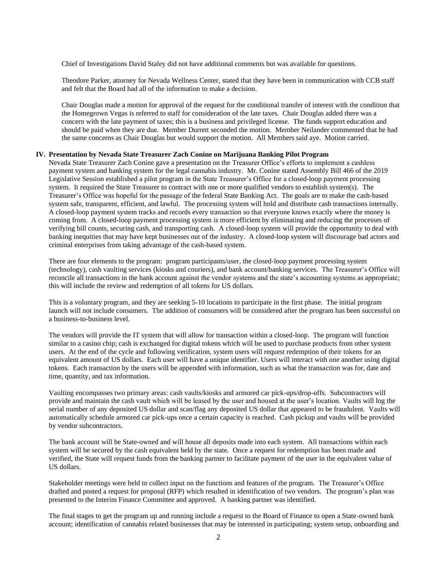Chief of Investigations David Staley did not have additional comments but was available for questions.

Theodore Parker, attorney for Nevada Wellness Center, stated that they have been in communication with CCB staff and felt that the Board had all of the information to make a decision.

Chair Douglas made a motion for approval of the request for the conditional transfer of interest with the condition that the Homegrown Vegas is referred to staff for consideration of the late taxes. Chair Douglas added there was a concern with the late payment of taxes; this is a business and privileged license. The funds support education and should be paid when they are due. Member Durrett seconded the motion. Member Neilander commented that he had the same concerns as Chair Douglas but would support the motion. All Members said aye. Motion carried.

### **IV. Presentation by Nevada State Treasurer Zach Conine on Marijuana Banking Pilot Program**

Nevada State Treasurer Zach Conine gave a presentation on the Treasurer Office's efforts to implement a cashless payment system and banking system for the legal cannabis industry. Mr. Conine stated Assembly Bill 466 of the 2019 Legislative Session established a pilot program in the State Treasurer's Office for a closed-loop payment processing system. It required the State Treasurer to contract with one or more qualified vendors to establish system(s). The Treasurer's Office was hopeful for the passage of the federal State Banking Act. The goals are to make the cash-based system safe, transparent, efficient, and lawful. The processing system will hold and distribute cash transactions internally. A closed-loop payment system tracks and records every transaction so that everyone knows exactly where the money is coming from. A closed-loop payment processing system is more efficient by eliminating and reducing the processes of verifying bill counts, securing cash, and transporting cash. A closed-loop system will provide the opportunity to deal with banking inequities that may have kept businesses out of the industry. A closed-loop system will discourage bad actors and criminal enterprises from taking advantage of the cash-based system.

There are four elements to the program: program participants/user, the closed-loop payment processing system (technology), cash vaulting services (kiosks and couriers), and bank account/banking services. The Treasurer's Office will reconcile all transactions in the bank account against the vendor systems and the state's accounting systems as appropriate; this will include the review and redemption of all tokens for US dollars.

This is a voluntary program, and they are seeking 5-10 locations to participate in the first phase. The initial program launch will not include consumers. The addition of consumers will be considered after the program has been successful on a business-to-business level.

The vendors will provide the IT system that will allow for transaction within a closed-loop. The program will function similar to a casino chip; cash is exchanged for digital tokens which will be used to purchase products from other system users. At the end of the cycle and following verification, system users will request redemption of their tokens for an equivalent amount of US dollars. Each user will have a unique identifier. Users will interact with one another using digital tokens. Each transaction by the users will be appended with information, such as what the transaction was for, date and time, quantity, and tax information.

Vaulting encompasses two primary areas: cash vaults/kiosks and armored car pick-ups/drop-offs. Subcontractors will provide and maintain the cash vault which will be leased by the user and housed at the user's location. Vaults will log the serial number of any deposited US dollar and scan/flag any deposited US dollar that appeared to be fraudulent. Vaults will automatically schedule armored car pick-ups once a certain capacity is reached. Cash pickup and vaults will be provided by vendor subcontractors.

The bank account will be State-owned and will house all deposits made into each system. All transactions within each system will be secured by the cash equivalent held by the state. Once a request for redemption has been made and verified, the State will request funds from the banking partner to facilitate payment of the user in the equivalent value of US dollars.

Stakeholder meetings were held to collect input on the functions and features of the program. The Treasurer's Office drafted and posted a request for proposal (RFP) which resulted in identification of two vendors. The program's plan was presented to the Interim Finance Committee and approved. A banking partner was identified.

The final stages to get the program up and running include a request to the Board of Finance to open a State-owned bank account; identification of cannabis related businesses that may be interested in participating; system setup, onboarding and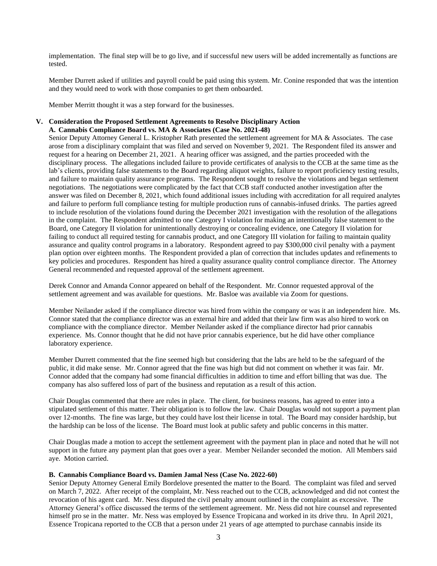implementation. The final step will be to go live, and if successful new users will be added incrementally as functions are tested.

Member Durrett asked if utilities and payroll could be paid using this system. Mr. Conine responded that was the intention and they would need to work with those companies to get them onboarded.

Member Merritt thought it was a step forward for the businesses.

## **V. Consideration the Proposed Settlement Agreements to Resolve Disciplinary Action A. Cannabis Compliance Board vs. MA & Associates (Case No. 2021-48)**

Senior Deputy Attorney General L. Kristopher Rath presented the settlement agreement for MA & Associates. The case arose from a disciplinary complaint that was filed and served on November 9, 2021. The Respondent filed its answer and request for a hearing on December 21, 2021. A hearing officer was assigned, and the parties proceeded with the disciplinary process. The allegations included failure to provide certificates of analysis to the CCB at the same time as the lab's clients, providing false statements to the Board regarding aliquot weights, failure to report proficiency testing results, and failure to maintain quality assurance programs. The Respondent sought to resolve the violations and began settlement negotiations. The negotiations were complicated by the fact that CCB staff conducted another investigation after the answer was filed on December 8, 2021, which found additional issues including with accreditation for all required analytes and failure to perform full compliance testing for multiple production runs of cannabis-infused drinks. The parties agreed to include resolution of the violations found during the December 2021 investigation with the resolution of the allegations in the complaint. The Respondent admitted to one Category I violation for making an intentionally false statement to the Board, one Category II violation for unintentionally destroying or concealing evidence, one Category II violation for failing to conduct all required testing for cannabis product, and one Category III violation for failing to maintain quality assurance and quality control programs in a laboratory. Respondent agreed to pay \$300,000 civil penalty with a payment plan option over eighteen months. The Respondent provided a plan of correction that includes updates and refinements to key policies and procedures. Respondent has hired a quality assurance quality control compliance director. The Attorney General recommended and requested approval of the settlement agreement.

Derek Connor and Amanda Connor appeared on behalf of the Respondent. Mr. Connor requested approval of the settlement agreement and was available for questions. Mr. Basloe was available via Zoom for questions.

Member Neilander asked if the compliance director was hired from within the company or was it an independent hire. Ms. Connor stated that the compliance director was an external hire and added that their law firm was also hired to work on compliance with the compliance director. Member Neilander asked if the compliance director had prior cannabis experience. Ms. Connor thought that he did not have prior cannabis experience, but he did have other compliance laboratory experience.

Member Durrett commented that the fine seemed high but considering that the labs are held to be the safeguard of the public, it did make sense. Mr. Connor agreed that the fine was high but did not comment on whether it was fair. Mr. Connor added that the company had some financial difficulties in addition to time and effort billing that was due. The company has also suffered loss of part of the business and reputation as a result of this action.

Chair Douglas commented that there are rules in place. The client, for business reasons, has agreed to enter into a stipulated settlement of this matter. Their obligation is to follow the law. Chair Douglas would not support a payment plan over 12-months. The fine was large, but they could have lost their license in total. The Board may consider hardship, but the hardship can be loss of the license. The Board must look at public safety and public concerns in this matter.

Chair Douglas made a motion to accept the settlement agreement with the payment plan in place and noted that he will not support in the future any payment plan that goes over a year. Member Neilander seconded the motion. All Members said aye. Motion carried.

## **B. Cannabis Compliance Board vs. Damien Jamal Ness (Case No. 2022-60)**

Senior Deputy Attorney General Emily Bordelove presented the matter to the Board. The complaint was filed and served on March 7, 2022. After receipt of the complaint, Mr. Ness reached out to the CCB, acknowledged and did not contest the revocation of his agent card. Mr. Ness disputed the civil penalty amount outlined in the complaint as excessive. The Attorney General's office discussed the terms of the settlement agreement. Mr. Ness did not hire counsel and represented himself pro se in the matter. Mr. Ness was employed by Essence Tropicana and worked in its drive thru. In April 2021, Essence Tropicana reported to the CCB that a person under 21 years of age attempted to purchase cannabis inside its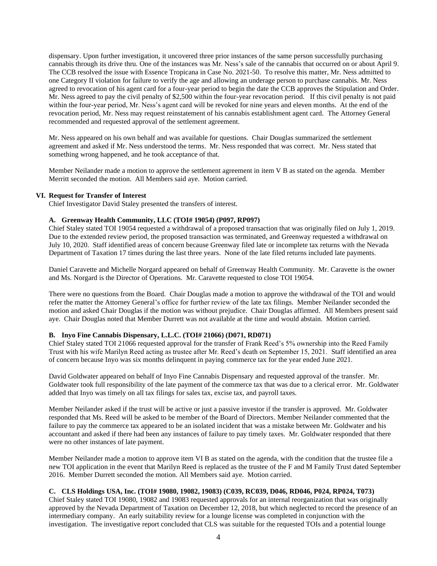dispensary. Upon further investigation, it uncovered three prior instances of the same person successfully purchasing cannabis through its drive thru. One of the instances was Mr. Ness's sale of the cannabis that occurred on or about April 9. The CCB resolved the issue with Essence Tropicana in Case No. 2021-50. To resolve this matter, Mr. Ness admitted to one Category II violation for failure to verify the age and allowing an underage person to purchase cannabis. Mr. Ness agreed to revocation of his agent card for a four-year period to begin the date the CCB approves the Stipulation and Order. Mr. Ness agreed to pay the civil penalty of \$2,500 within the four-year revocation period. If this civil penalty is not paid within the four-year period, Mr. Ness's agent card will be revoked for nine years and eleven months. At the end of the revocation period, Mr. Ness may request reinstatement of his cannabis establishment agent card. The Attorney General recommended and requested approval of the settlement agreement.

Mr. Ness appeared on his own behalf and was available for questions. Chair Douglas summarized the settlement agreement and asked if Mr. Ness understood the terms. Mr. Ness responded that was correct. Mr. Ness stated that something wrong happened, and he took acceptance of that.

Member Neilander made a motion to approve the settlement agreement in item V B as stated on the agenda. Member Merritt seconded the motion. All Members said aye. Motion carried.

## **VI. Request for Transfer of Interest**

Chief Investigator David Staley presented the transfers of interest.

# **A. Greenway Health Community, LLC (TOI# 19054) (P097, RP097)**

Chief Staley stated TOI 19054 requested a withdrawal of a proposed transaction that was originally filed on July 1, 2019. Due to the extended review period, the proposed transaction was terminated, and Greenway requested a withdrawal on July 10, 2020. Staff identified areas of concern because Greenway filed late or incomplete tax returns with the Nevada Department of Taxation 17 times during the last three years. None of the late filed returns included late payments.

Daniel Caravette and Michelle Norgard appeared on behalf of Greenway Health Community. Mr. Caravette is the owner and Ms. Norgard is the Director of Operations. Mr. Caravette requested to close TOI 19054.

There were no questions from the Board. Chair Douglas made a motion to approve the withdrawal of the TOI and would refer the matter the Attorney General's office for further review of the late tax filings. Member Neilander seconded the motion and asked Chair Douglas if the motion was without prejudice. Chair Douglas affirmed. All Members present said aye. Chair Douglas noted that Member Durrett was not available at the time and would abstain. Motion carried.

## **B. Inyo Fine Cannabis Dispensary, L.L.C. (TOI# 21066) (D071, RD071)**

Chief Staley stated TOI 21066 requested approval for the transfer of Frank Reed's 5% ownership into the Reed Family Trust with his wife Marilyn Reed acting as trustee after Mr. Reed's death on September 15, 2021. Staff identified an area of concern because Inyo was six months delinquent in paying commerce tax for the year ended June 2021.

David Goldwater appeared on behalf of Inyo Fine Cannabis Dispensary and requested approval of the transfer. Mr. Goldwater took full responsibility of the late payment of the commerce tax that was due to a clerical error. Mr. Goldwater added that Inyo was timely on all tax filings for sales tax, excise tax, and payroll taxes.

Member Neilander asked if the trust will be active or just a passive investor if the transfer is approved. Mr. Goldwater responded that Ms. Reed will be asked to be member of the Board of Directors. Member Neilander commented that the failure to pay the commerce tax appeared to be an isolated incident that was a mistake between Mr. Goldwater and his accountant and asked if there had been any instances of failure to pay timely taxes. Mr. Goldwater responded that there were no other instances of late payment.

Member Neilander made a motion to approve item VI B as stated on the agenda, with the condition that the trustee file a new TOI application in the event that Marilyn Reed is replaced as the trustee of the F and M Family Trust dated September 2016. Member Durrett seconded the motion. All Members said aye. Motion carried.

# **C. CLS Holdings USA, Inc. (TOI# 19080, 19082, 19083) (C039, RC039, D046, RD046, P024, RP024, T073)**

Chief Staley stated TOI 19080, 19082 and 19083 requested approvals for an internal reorganization that was originally approved by the Nevada Department of Taxation on December 12, 2018, but which neglected to record the presence of an intermediary company. An early suitability review for a lounge license was completed in conjunction with the investigation. The investigative report concluded that CLS was suitable for the requested TOIs and a potential lounge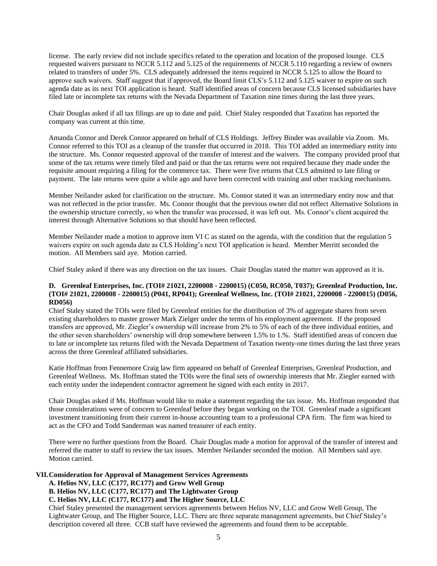license. The early review did not include specifics related to the operation and location of the proposed lounge. CLS requested waivers pursuant to NCCR 5.112 and 5.125 of the requirements of NCCR 5.110 regarding a review of owners related to transfers of under 5%. CLS adequately addressed the items required in NCCR 5.125 to allow the Board to approve such waivers. Staff suggest that if approved, the Board limit CLS's 5.112 and 5.125 waiver to expire on such agenda date as its next TOI application is heard. Staff identified areas of concern because CLS licensed subsidiaries have filed late or incomplete tax returns with the Nevada Department of Taxation nine times during the last three years.

Chair Douglas asked if all tax filings are up to date and paid. Chief Staley responded that Taxation has reported the company was current at this time.

Amanda Connor and Derek Connor appeared on behalf of CLS Holdings. Jeffrey Binder was available via Zoom. Ms. Connor referred to this TOI as a cleanup of the transfer that occurred in 2018. This TOI added an intermediary entity into the structure. Ms. Connor requested approval of the transfer of interest and the waivers. The company provided proof that some of the tax returns were timely filed and paid or that the tax returns were not required because they made under the requisite amount requiring a filing for the commerce tax. There were five returns that CLS admitted to late filing or payment. The late returns were quite a while ago and have been corrected with training and other tracking mechanisms.

Member Neilander asked for clarification on the structure. Ms. Connor stated it was an intermediary entity now and that was not reflected in the prior transfer. Ms. Connor thought that the previous owner did not reflect Alternative Solutions in the ownership structure correctly, so when the transfer was processed, it was left out. Ms. Connor's client acquired the interest through Alternative Solutions so that should have been reflected.

Member Neilander made a motion to approve item VI C as stated on the agenda, with the condition that the regulation 5 waivers expire on such agenda date as CLS Holding's next TOI application is heard. Member Merritt seconded the motion. All Members said aye. Motion carried.

Chief Staley asked if there was any direction on the tax issues. Chair Douglas stated the matter was approved as it is.

## **D. Greenleaf Enterprises, Inc. (TOI# 21021, 2200008 - 2200015) (C050, RC050, T037); Greenleaf Production, Inc. (TOI# 21021, 2200008 - 2200015) (P041, RP041); Greenleaf Wellness, Inc. (TOI# 21021, 2200008 - 2200015) (D056, RD056)**

Chief Staley stated the TOIs were filed by Greenleaf entities for the distribution of 3% of aggregate shares from seven existing shareholders to master grower Mark Zielger under the terms of his employment agreement. If the proposed transfers are approved, Mr. Ziegler's ownership will increase from 2% to 5% of each of the three individual entities, and the other seven shareholders' ownership will drop somewhere between 1.5% to 1.%. Staff identified areas of concern due to late or incomplete tax returns filed with the Nevada Department of Taxation twenty-one times during the last three years across the three Greenleaf affiliated subsidiaries.

Katie Hoffman from Fennemore Craig law firm appeared on behalf of Greenleaf Enterprises, Greenleaf Production, and Greenleaf Wellness. Ms. Hoffman stated the TOIs were the final sets of ownership interests that Mr. Ziegler earned with each entity under the independent contractor agreement he signed with each entity in 2017.

Chair Douglas asked if Ms. Hoffman would like to make a statement regarding the tax issue. Ms. Hoffman responded that those considerations were of concern to Greenleaf before they began working on the TOI. Greenleaf made a significant investment transitioning from their current in-house accounting team to a professional CPA firm. The firm was hired to act as the CFO and Todd Sanderman was named treasurer of each entity.

There were no further questions from the Board. Chair Douglas made a motion for approval of the transfer of interest and referred the matter to staff to review the tax issues. Member Neilander seconded the motion. All Members said aye. Motion carried.

## **VII.Consideration for Approval of Management Services Agreements**

**A. Helios NV, LLC (C177, RC177) and Grow Well Group**

**B. Helios NV, LLC (C177, RC177) and The Lightwater Group**

# **C. Helios NV, LLC (C177, RC177) and The Higher Source, LLC**

Chief Staley presented the management services agreements between Helios NV, LLC and Grow Well Group, The Lightwater Group, and The Higher Source, LLC. There are three separate management agreements, but Chief Staley's description covered all three. CCB staff have reviewed the agreements and found them to be acceptable.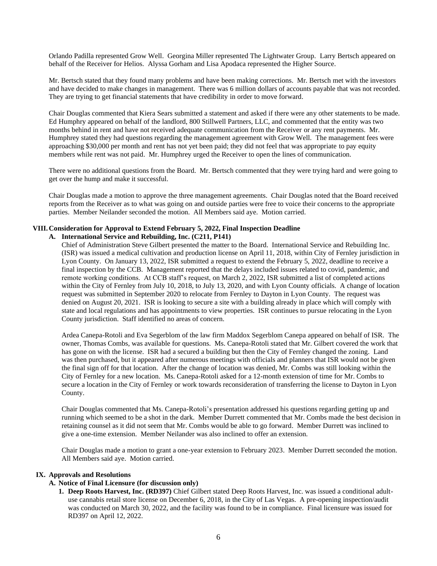Orlando Padilla represented Grow Well. Georgina Miller represented The Lightwater Group. Larry Bertsch appeared on behalf of the Receiver for Helios. Alyssa Gorham and Lisa Apodaca represented the Higher Source.

Mr. Bertsch stated that they found many problems and have been making corrections. Mr. Bertsch met with the investors and have decided to make changes in management. There was 6 million dollars of accounts payable that was not recorded. They are trying to get financial statements that have credibility in order to move forward.

Chair Douglas commented that Kiera Sears submitted a statement and asked if there were any other statements to be made. Ed Humphry appeared on behalf of the landlord, 800 Stillwell Partners, LLC, and commented that the entity was two months behind in rent and have not received adequate communication from the Receiver or any rent payments. Mr. Humphrey stated they had questions regarding the management agreement with Grow Well. The management fees were approaching \$30,000 per month and rent has not yet been paid; they did not feel that was appropriate to pay equity members while rent was not paid. Mr. Humphrey urged the Receiver to open the lines of communication.

There were no additional questions from the Board. Mr. Bertsch commented that they were trying hard and were going to get over the hump and make it successful.

Chair Douglas made a motion to approve the three management agreements. Chair Douglas noted that the Board received reports from the Receiver as to what was going on and outside parties were free to voice their concerns to the appropriate parties. Member Neilander seconded the motion. All Members said aye. Motion carried.

## **VIII.Consideration for Approval to Extend February 5, 2022, Final Inspection Deadline**

## **A. International Service and Rebuilding, Inc. (C211, P141)**

Chief of Administration Steve Gilbert presented the matter to the Board. International Service and Rebuilding Inc. (ISR) was issued a medical cultivation and production license on April 11, 2018, within City of Fernley jurisdiction in Lyon County. On January 13, 2022, ISR submitted a request to extend the February 5, 2022, deadline to receive a final inspection by the CCB. Management reported that the delays included issues related to covid, pandemic, and remote working conditions. At CCB staff's request, on March 2, 2022, ISR submitted a list of completed actions within the City of Fernley from July 10, 2018, to July 13, 2020, and with Lyon County officials. A change of location request was submitted in September 2020 to relocate from Fernley to Dayton in Lyon County. The request was denied on August 20, 2021. ISR is looking to secure a site with a building already in place which will comply with state and local regulations and has appointments to view properties. ISR continues to pursue relocating in the Lyon County jurisdiction. Staff identified no areas of concern.

Ardea Canepa-Rotoli and Eva Segerblom of the law firm Maddox Segerblom Canepa appeared on behalf of ISR. The owner, Thomas Combs, was available for questions. Ms. Canepa-Rotoli stated that Mr. Gilbert covered the work that has gone on with the license. ISR had a secured a building but then the City of Fernley changed the zoning. Land was then purchased, but it appeared after numerous meetings with officials and planners that ISR would not be given the final sign off for that location. After the change of location was denied, Mr. Combs was still looking within the City of Fernley for a new location. Ms. Canepa-Rotoli asked for a 12-month extension of time for Mr. Combs to secure a location in the City of Fernley or work towards reconsideration of transferring the license to Dayton in Lyon County.

Chair Douglas commented that Ms. Canepa-Rotoli's presentation addressed his questions regarding getting up and running which seemed to be a shot in the dark. Member Durrett commented that Mr. Combs made the best decision in retaining counsel as it did not seem that Mr. Combs would be able to go forward. Member Durrett was inclined to give a one-time extension. Member Neilander was also inclined to offer an extension.

Chair Douglas made a motion to grant a one-year extension to February 2023. Member Durrett seconded the motion. All Members said aye. Motion carried.

# **IX. Approvals and Resolutions**

## **A. Notice of Final Licensure (for discussion only)**

**1. Deep Roots Harvest, Inc. (RD397)** Chief Gilbert stated Deep Roots Harvest, Inc. was issued a conditional adultuse cannabis retail store license on December 6, 2018, in the City of Las Vegas. A pre-opening inspection/audit was conducted on March 30, 2022, and the facility was found to be in compliance. Final licensure was issued for RD397 on April 12, 2022.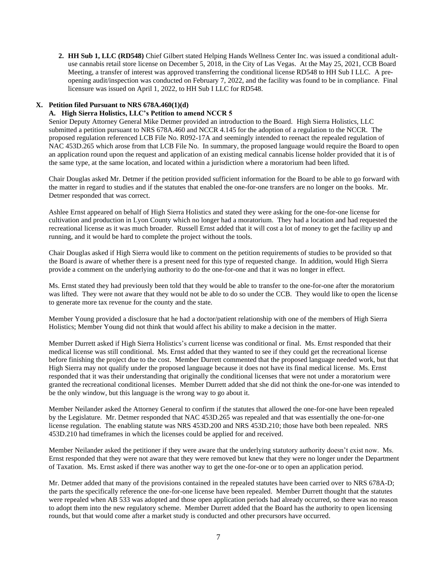**2. HH Sub 1, LLC (RD548)** Chief Gilbert stated Helping Hands Wellness Center Inc. was issued a conditional adultuse cannabis retail store license on December 5, 2018, in the City of Las Vegas. At the May 25, 2021, CCB Board Meeting, a transfer of interest was approved transferring the conditional license RD548 to HH Sub I LLC. A preopening audit/inspection was conducted on February 7, 2022, and the facility was found to be in compliance. Final licensure was issued on April 1, 2022, to HH Sub I LLC for RD548.

# **X. Petition filed Pursuant to NRS 678A.460(1)(d)**

## **A. High Sierra Holistics, LLC's Petition to amend NCCR 5**

Senior Deputy Attorney General Mike Detmer provided an introduction to the Board. High Sierra Holistics, LLC submitted a petition pursuant to NRS 678A.460 and NCCR 4.145 for the adoption of a regulation to the NCCR. The proposed regulation referenced LCB File No. R092-17A and seemingly intended to reenact the repealed regulation of NAC 453D.265 which arose from that LCB File No. In summary, the proposed language would require the Board to open an application round upon the request and application of an existing medical cannabis license holder provided that it is of the same type, at the same location, and located within a jurisdiction where a moratorium had been lifted.

Chair Douglas asked Mr. Detmer if the petition provided sufficient information for the Board to be able to go forward with the matter in regard to studies and if the statutes that enabled the one-for-one transfers are no longer on the books. Mr. Detmer responded that was correct.

Ashlee Ernst appeared on behalf of High Sierra Holistics and stated they were asking for the one-for-one license for cultivation and production in Lyon County which no longer had a moratorium. They had a location and had requested the recreational license as it was much broader. Russell Ernst added that it will cost a lot of money to get the facility up and running, and it would be hard to complete the project without the tools.

Chair Douglas asked if High Sierra would like to comment on the petition requirements of studies to be provided so that the Board is aware of whether there is a present need for this type of requested change. In addition, would High Sierra provide a comment on the underlying authority to do the one-for-one and that it was no longer in effect.

Ms. Ernst stated they had previously been told that they would be able to transfer to the one-for-one after the moratorium was lifted. They were not aware that they would not be able to do so under the CCB. They would like to open the license to generate more tax revenue for the county and the state.

Member Young provided a disclosure that he had a doctor/patient relationship with one of the members of High Sierra Holistics; Member Young did not think that would affect his ability to make a decision in the matter.

Member Durrett asked if High Sierra Holistics's current license was conditional or final. Ms. Ernst responded that their medical license was still conditional. Ms. Ernst added that they wanted to see if they could get the recreational license before finishing the project due to the cost. Member Durrett commented that the proposed language needed work, but that High Sierra may not qualify under the proposed language because it does not have its final medical license. Ms. Ernst responded that it was their understanding that originally the conditional licenses that were not under a moratorium were granted the recreational conditional licenses. Member Durrett added that she did not think the one-for-one was intended to be the only window, but this language is the wrong way to go about it.

Member Neilander asked the Attorney General to confirm if the statutes that allowed the one-for-one have been repealed by the Legislature. Mr. Detmer responded that NAC 453D.265 was repealed and that was essentially the one-for-one license regulation. The enabling statute was NRS 453D.200 and NRS 453D.210; those have both been repealed. NRS 453D.210 had timeframes in which the licenses could be applied for and received.

Member Neilander asked the petitioner if they were aware that the underlying statutory authority doesn't exist now. Ms. Ernst responded that they were not aware that they were removed but knew that they were no longer under the Department of Taxation. Ms. Ernst asked if there was another way to get the one-for-one or to open an application period.

Mr. Detmer added that many of the provisions contained in the repealed statutes have been carried over to NRS 678A-D; the parts the specifically reference the one-for-one license have been repealed. Member Durrett thought that the statutes were repealed when AB 533 was adopted and those open application periods had already occurred, so there was no reason to adopt them into the new regulatory scheme. Member Durrett added that the Board has the authority to open licensing rounds, but that would come after a market study is conducted and other precursors have occurred.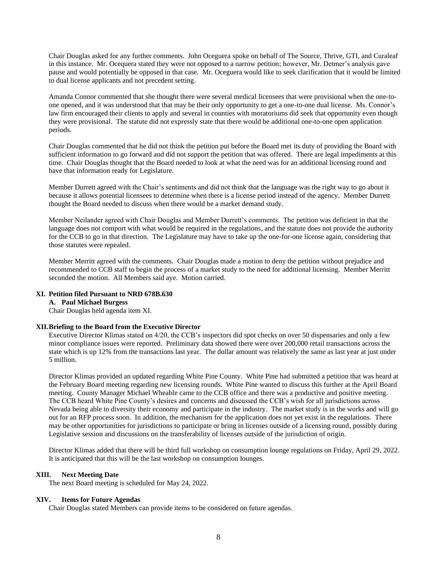Chair Douglas asked for any further comments. John Oceguera spoke on behalf of The Source, Thrive, GTI, and Curaleaf in this instance. Mr. Ocequera stated they were not opposed to a narrow petition; however, Mr. Detmer's analysis gave pause and would potentially be opposed in that case. Mr. Oceguera would like to seek clarification that it would be limited to dual license applicants and not precedent setting.

Amanda Connor commented that she thought there were several medical licensees that were provisional when the one-toone opened, and it was understood that that may be their only opportunity to get a one-to-one dual license. Ms. Connor's law firm encouraged their clients to apply and several in counties with moratoriums did seek that opportunity even though they were provisional. The statute did not expressly state that there would be additional one-to-one open application periods.

Chair Douglas commented that he did not think the petition put before the Board met its duty of providing the Board with sufficient information to go forward and did not support the petition that was offered. There are legal impediments at this time. Chair Douglas thought that the Board needed to look at what the need was for an additional licensing round and have that information ready for Legislature.

Member Durrett agreed with the Chair's sentiments and did not think that the language was the right way to go about it because it allows potential licensees to determine when there is a license period instead of the agency. Member Durrett thought the Board needed to discuss when there would be a market demand study.

Member Neilander agreed with Chair Douglas and Member Durrett's comments. The petition was deficient in that the language does not comport with what would be required in the regulations, and the statute does not provide the authority for the CCB to go in that direction. The Legislature may have to take up the one-for-one license again, considering that those statutes were repealed.

Member Merritt agreed with the comments. Chair Douglas made a motion to deny the petition without prejudice and recommended to CCB staff to begin the process of a market study to the need for additional licensing. Member Merritt seconded the motion. All Members said aye. Motion carried.

## **XI. Petition filed Pursuant to NRD 678B.630**

#### **A. Paul Michael Burgess**

Chair Douglas held agenda item XI.

## **XII.Briefing to the Board from the Executive Director**

Executive Director Klimas stated on 4/20, the CCB's inspectors did spot checks on over 50 dispensaries and only a few minor compliance issues were reported. Preliminary data showed there were over 200,000 retail transactions across the state which is up 12% from the transactions last year. The dollar amount was relatively the same as last year at just under 5 million.

Director Klimas provided an updated regarding White Pine County. White Pine had submitted a petition that was heard at the February Board meeting regarding new licensing rounds. White Pine wanted to discuss this further at the April Board meeting. County Manager Michael Wheable came to the CCB office and there was a productive and positive meeting. The CCB heard White Pine County's desires and concerns and discussed the CCB's wish for all jurisdictions across Nevada being able to diversity their economy and participate in the industry. The market study is in the works and will go out for an RFP process soon. In addition, the mechanism for the application does not yet exist in the regulations. There may be other opportunities for jurisdictions to participate or bring in licenses outside of a licensing round, possibly during Legislative session and discussions on the transferability of licenses outside of the jurisdiction of origin.

Director Klimas added that there will be third full workshop on consumption lounge regulations on Friday, April 29, 2022. It is anticipated that this will be the last workshop on consumption lounges.

# **XIII. Next Meeting Date**

The next Board meeting is scheduled for May 24, 2022.

# **XIV. Items for Future Agendas**

Chair Douglas stated Members can provide items to be considered on future agendas.